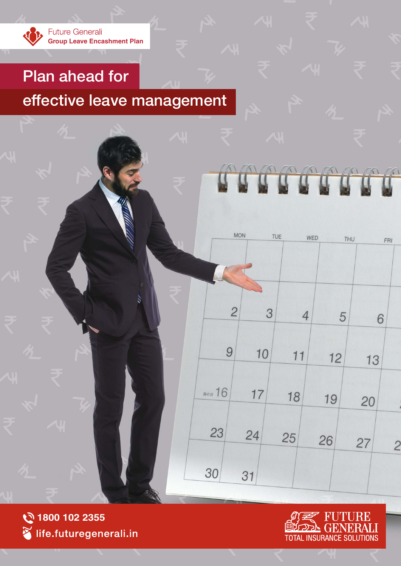

# Plan ahead for

# effective leave management



JRE  $|\mathbf{H}^{\prime}|$ **SOLUTIONS TOTAL INSURANCE** 

TO OCO

WED

 $\overline{4}$ 

 $11$ 

18

25

THU

5

 $12$ 

19

26

FRI

6

13

20

27

 $\overline{c}$ 

**MON** 

 $\overline{2}$ 

9

海の日 16

23

30

TUE

3

10

 $17$ 

24

31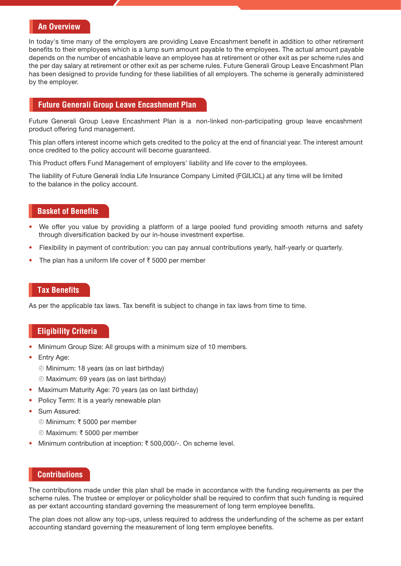#### **An Overview**

In today's time many of the employers are providing Leave Encashment benefit in addition to other retirement benefits to their employees which is a lump sum amount payable to the employees. The actual amount payable depends on the number of encashable leave an employee has at retirement or other exit as per scheme rules and the per day salary at retirement or other exit as per scheme rules. Future Generali Group Leave Encashment Plan has been designed to provide funding for these liabilities of all employers. The scheme is generally administered by the employer.

#### **Future Generali Group Leave Encashment Plan**

Future Generali Group Leave Encashment Plan is a non-linked non-participating group leave encashment product offering fund management.

This plan offers interest income which gets credited to the policy at the end of financial year. The interest amount once credited to the policy account will become guaranteed.

This Product offers Fund Management of employers' liability and life cover to the employees.

The liability of Future Generali India Life Insurance Company Limited (FGILICL) at any time will be limited to the balance in the policy account.

## **Basket of Benefits**

- We offer you value by providing a platform of a large pooled fund providing smooth returns and safety through diversification backed by our in-house investment expertise.
- Flexibility in payment of contribution: you can pay annual contributions yearly, half-yearly or quarterly.
- The plan has a uniform life cover of  $\bar{z}$  5000 per member

## **Tax Benefits**

As per the applicable tax laws. Tax benefit is subject to change in tax laws from time to time.

# **Eligibility Criteria**

- Minimum Group Size: All groups with a minimum size of 10 members.
- Entry Age:
	- ¾ Minimum: 18 years (as on last birthday)
	- ¾ Maximum: 69 years (as on last birthday)
- Maximum Maturity Age: 70 years (as on last birthday)
- Policy Term: It is a yearly renewable plan
- Sum Assured:
	- 2 Minimum: ₹ 5000 per member
		- 2 Maximum: ₹ 5000 per member
- Minimum contribution at inception:  $\bar{\tau}$  500,000/-. On scheme level.

# **Contributions**

The contributions made under this plan shall be made in accordance with the funding requirements as per the scheme rules. The trustee or employer or policyholder shall be required to confirm that such funding is required as per extant accounting standard governing the measurement of long term employee benefits.

The plan does not allow any top-ups, unless required to address the underfunding of the scheme as per extant accounting standard governing the measurement of long term employee benefits.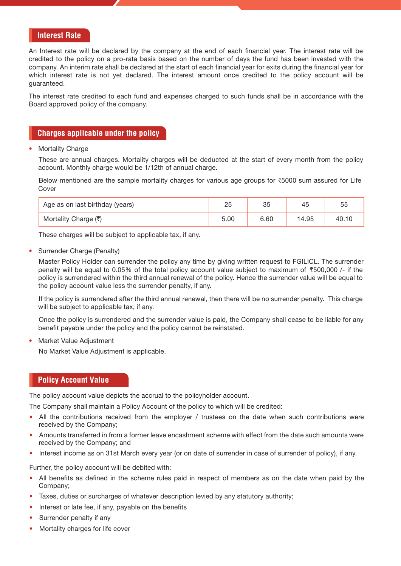### **Interest Rate**

An Interest rate will be declared by the company at the end of each financial year. The interest rate will be credited to the policy on a pro-rata basis based on the number of days the fund has been invested with the company. An interim rate shall be declared at the start of each financial year for exits during the financial year for which interest rate is not yet declared. The interest amount once credited to the policy account will be guaranteed.

The interest rate credited to each fund and expenses charged to such funds shall be in accordance with the Board approved policy of the company.

# **Charges applicable under the policy**

**Mortality Charge** 

These are annual charges. Mortality charges will be deducted at the start of every month from the policy account. Monthly charge would be 1/12th of annual charge.

Below mentioned are the sample mortality charges for various age groups for  $\overline{5000}$  sum assured for Life Cover

| Age as on last birthday (years) |      | つに<br>تټ | 45    | 55    |
|---------------------------------|------|----------|-------|-------|
| Mortality Charge (₹)            | 5.00 | 6.60     | 14.95 | 40.10 |

These charges will be subject to applicable tax, if any.

Surrender Charge (Penalty)

Master Policy Holder can surrender the policy any time by giving written request to FGILICL. The surrender penalty will be equal to 0.05% of the total policy account value subject to maximum of  $\overline{500,000}$  /- if the policy is surrendered within the third annual renewal of the policy. Hence the surrender value will be equal to the policy account value less the surrender penalty, if any.

If the policy is surrendered after the third annual renewal, then there will be no surrender penalty. This charge will be subject to applicable tax, if any.

Once the policy is surrendered and the surrender value is paid, the Company shall cease to be liable for any benefit payable under the policy and the policy cannot be reinstated.

• Market Value Adjustment

No Market Value Adjustment is applicable.

## **Policy Account Value**

The policy account value depicts the accrual to the policyholder account.

The Company shall maintain a Policy Account of the policy to which will be credited:

- All the contributions received from the employer / trustees on the date when such contributions were received by the Company;
- Amounts transferred in from a former leave encashment scheme with effect from the date such amounts were received by the Company; and
- Interest income as on 31st March every year (or on date of surrender in case of surrender of policy), if any.

Further, the policy account will be debited with:

- All benefits as defined in the scheme rules paid in respect of members as on the date when paid by the Company;
- Taxes, duties or surcharges of whatever description levied by any statutory authority;
- Interest or late fee, if any, payable on the benefits
- Surrender penalty if any
- Mortality charges for life cover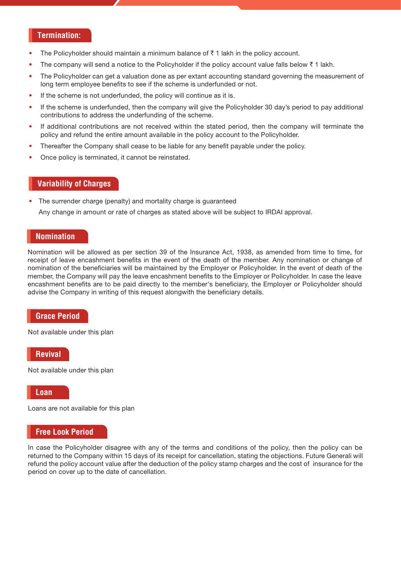#### **Termination:**

- The Policyholder should maintain a minimum balance of  $\bar{z}$  1 lakh in the policy account.
- The company will send a notice to the Policyholder if the policy account value falls below  $\bar{\tau}$  1 lakh.
- The Policyholder can get a valuation done as per extant accounting standard governing the measurement of long term employee benefits to see if the scheme is underfunded or not.
- If the scheme is not underfunded, the policy will continue as it is.
- If the scheme is underfunded, then the company will give the Policyholder 30 day's period to pay additional contributions to address the underfunding of the scheme.
- If additional contributions are not received within the stated period, then the company will terminate the policy and refund the entire amount available in the policy account to the Policyholder.
- Thereafter the Company shall cease to be liable for any benefit payable under the policy.
- Once policy is terminated, it cannot be reinstated.

#### **Variability of Charges**

• The surrender charge (penalty) and mortality charge is guaranteed Any change in amount or rate of charges as stated above will be subject to IRDAI approval.

# **Nomination**

Nomination will be allowed as per section 39 of the Insurance Act, 1938, as amended from time to time, for receipt of leave encashment benefits in the event of the death of the member. Any nomination or change of nomination of the beneficiaries will be maintained by the Employer or Policyholder. In the event of death of the member, the Company will pay the leave encashment benefits to the Employer or Policyholder. In case the leave encashment benefits are to be paid directly to the member's beneficiary, the Employer or Policyholder should advise the Company in writing of this request alongwith the beneficiary details.

#### **Grace Period**

Not available under this plan

**Revival**

Not available under this plan

**Loan**

Loans are not available for this plan

#### **Free Look Period**

In case the Policyholder disagree with any of the terms and conditions of the policy, then the policy can be returned to the Company within 15 days of its receipt for cancellation, stating the objections. Future Generali will refund the policy account value after the deduction of the policy stamp charges and the cost of insurance for the period on cover up to the date of cancellation.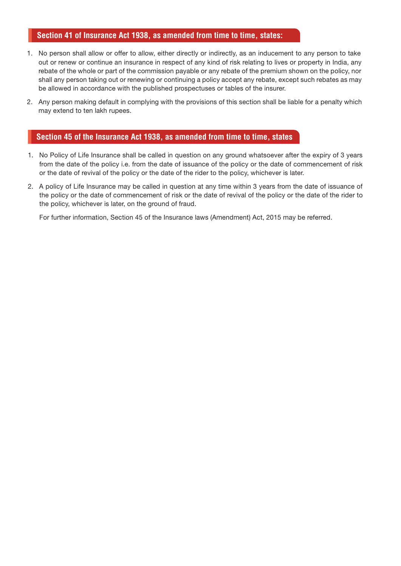# **Section 41 of Insurance Act 1938, as amended from time to time, states:**

- 1. No person shall allow or offer to allow, either directly or indirectly, as an inducement to any person to take out or renew or continue an insurance in respect of any kind of risk relating to lives or property in India, any rebate of the whole or part of the commission payable or any rebate of the premium shown on the policy, nor shall any person taking out or renewing or continuing a policy accept any rebate, except such rebates as may be allowed in accordance with the published prospectuses or tables of the insurer.
- 2. Any person making default in complying with the provisions of this section shall be liable for a penalty which may extend to ten lakh rupees.

# **Section 45 of the Insurance Act 1938, as amended from time to time, states**

- 1. No Policy of Life Insurance shall be called in question on any ground whatsoever after the expiry of 3 years from the date of the policy i.e. from the date of issuance of the policy or the date of commencement of risk or the date of revival of the policy or the date of the rider to the policy, whichever is later.
- 2. A policy of Life Insurance may be called in question at any time within 3 years from the date of issuance of the policy or the date of commencement of risk or the date of revival of the policy or the date of the rider to the policy, whichever is later, on the ground of fraud.

For further information, Section 45 of the Insurance laws (Amendment) Act, 2015 may be referred.